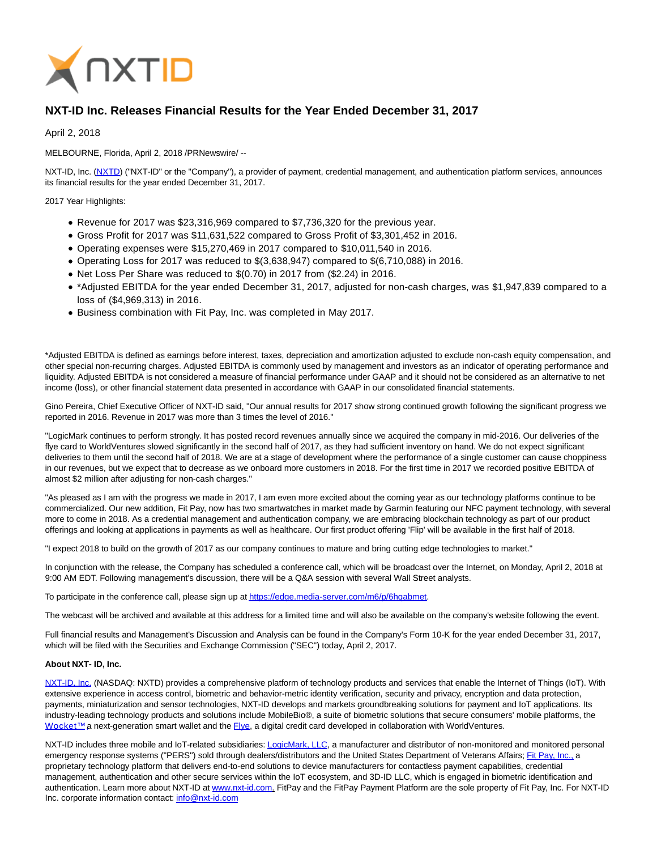

## **NXT-ID Inc. Releases Financial Results for the Year Ended December 31, 2017**

April 2, 2018

MELBOURNE, Florida, April 2, 2018 /PRNewswire/ --

NXT-ID, Inc. [\(NXTD\)](https://finance.yahoo.com/q?s=nxtd) ("NXT-ID" or the "Company"), a provider of payment, credential management, and authentication platform services, announces its financial results for the year ended December 31, 2017.

2017 Year Highlights:

- Revenue for 2017 was \$23,316,969 compared to \$7,736,320 for the previous year.
- Gross Profit for 2017 was \$11,631,522 compared to Gross Profit of \$3,301,452 in 2016.
- Operating expenses were \$15,270,469 in 2017 compared to \$10,011,540 in 2016.
- $\bullet$  Operating Loss for 2017 was reduced to \$(3,638,947) compared to \$(6,710,088) in 2016.
- Net Loss Per Share was reduced to \$(0.70) in 2017 from (\$2.24) in 2016.
- \*Adjusted EBITDA for the year ended December 31, 2017, adjusted for non-cash charges, was \$1,947,839 compared to a loss of (\$4,969,313) in 2016.
- Business combination with Fit Pay, Inc. was completed in May 2017.

\*Adjusted EBITDA is defined as earnings before interest, taxes, depreciation and amortization adjusted to exclude non-cash equity compensation, and other special non-recurring charges. Adjusted EBITDA is commonly used by management and investors as an indicator of operating performance and liquidity. Adjusted EBITDA is not considered a measure of financial performance under GAAP and it should not be considered as an alternative to net income (loss), or other financial statement data presented in accordance with GAAP in our consolidated financial statements.

Gino Pereira, Chief Executive Officer of NXT-ID said, "Our annual results for 2017 show strong continued growth following the significant progress we reported in 2016. Revenue in 2017 was more than 3 times the level of 2016."

"LogicMark continues to perform strongly. It has posted record revenues annually since we acquired the company in mid-2016. Our deliveries of the flye card to WorldVentures slowed significantly in the second half of 2017, as they had sufficient inventory on hand. We do not expect significant deliveries to them until the second half of 2018. We are at a stage of development where the performance of a single customer can cause choppiness in our revenues, but we expect that to decrease as we onboard more customers in 2018. For the first time in 2017 we recorded positive EBITDA of almost \$2 million after adjusting for non-cash charges."

"As pleased as I am with the progress we made in 2017, I am even more excited about the coming year as our technology platforms continue to be commercialized. Our new addition, Fit Pay, now has two smartwatches in market made by Garmin featuring our NFC payment technology, with several more to come in 2018. As a credential management and authentication company, we are embracing blockchain technology as part of our product offerings and looking at applications in payments as well as healthcare. Our first product offering 'Flip' will be available in the first half of 2018.

"I expect 2018 to build on the growth of 2017 as our company continues to mature and bring cutting edge technologies to market."

In conjunction with the release, the Company has scheduled a conference call, which will be broadcast over the Internet, on Monday, April 2, 2018 at 9:00 AM EDT. Following management's discussion, there will be a Q&A session with several Wall Street analysts.

To participate in the conference call, please sign up a[t https://edge.media-server.com/m6/p/6hqabmet.](https://edge.media-server.com/m6/p/6hqabmet)

The webcast will be archived and available at this address for a limited time and will also be available on the company's website following the event.

Full financial results and Management's Discussion and Analysis can be found in the Company's Form 10-K for the year ended December 31, 2017, which will be filed with the Securities and Exchange Commission ("SEC") today, April 2, 2017.

## **About NXT- ID, Inc.**

[NXT-ID, Inc. \(](http://www.nxt-id.com/)NASDAQ: NXTD) provides a comprehensive platform of technology products and services that enable the Internet of Things (IoT). With extensive experience in access control, biometric and behavior-metric identity verification, security and privacy, encryption and data protection, payments, miniaturization and sensor technologies, NXT-ID develops and markets groundbreaking solutions for payment and IoT applications. Its industry-leading technology products and solutions include MobileBio®, a suite of biometric solutions that secure consumers' mobile platforms, the Wocket™ a next-generation smart wallet and the Elve, a digital credit card developed in collaboration with WorldVentures.

NXT-ID includes three mobile and IoT-related subsidiaries[: LogicMark, LLC,](https://www.logicmark.com/) a manufacturer and distributor of non-monitored and monitored personal emergency response systems ("PERS") sold through dealers/distributors and the United States Department of Veterans Affairs[; Fit Pay, Inc., a](http://www.fit-pay.com/) proprietary technology platform that delivers end-to-end solutions to device manufacturers for contactless payment capabilities, credential management, authentication and other secure services within the IoT ecosystem, and 3D-ID LLC, which is engaged in biometric identification and authentication. Learn more about NXT-ID at [www.nxt-id.com.](http://www.nxt-id.com/) FitPay and the FitPay Payment Platform are the sole property of Fit Pay, Inc. For NXT-ID Inc. corporate information contact[: info@nxt-id.com](mailto:info@nxt-id.com)